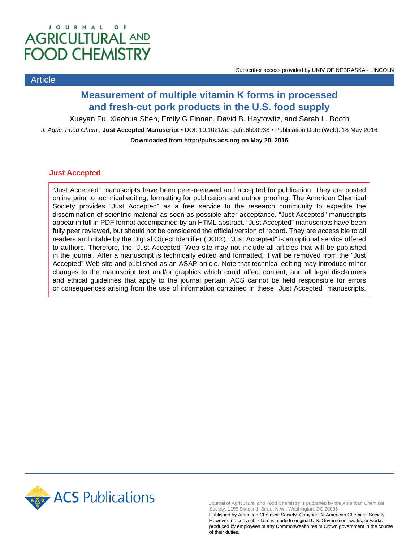# JOURNAL OF **AGRICULTURAL AND FOOD CHEMISTRY**

## Article

## **Measurement of multiple vitamin K forms in processed and fresh-cut pork products in the U.S. food supply**

Xueyan Fu, Xiaohua Shen, Emily G Finnan, David B. Haytowitz, and Sarah L. Booth

J. Agric. Food Chem., **Just Accepted Manuscript** • DOI: 10.1021/acs.jafc.6b00938 • Publication Date (Web): 18 May 2016 **Downloaded from http://pubs.acs.org on May 20, 2016**

## **Just Accepted**

"Just Accepted" manuscripts have been peer-reviewed and accepted for publication. They are posted online prior to technical editing, formatting for publication and author proofing. The American Chemical Society provides "Just Accepted" as a free service to the research community to expedite the dissemination of scientific material as soon as possible after acceptance. "Just Accepted" manuscripts appear in full in PDF format accompanied by an HTML abstract. "Just Accepted" manuscripts have been fully peer reviewed, but should not be considered the official version of record. They are accessible to all readers and citable by the Digital Object Identifier (DOI®). "Just Accepted" is an optional service offered to authors. Therefore, the "Just Accepted" Web site may not include all articles that will be published in the journal. After a manuscript is technically edited and formatted, it will be removed from the "Just Accepted" Web site and published as an ASAP article. Note that technical editing may introduce minor changes to the manuscript text and/or graphics which could affect content, and all legal disclaimers and ethical guidelines that apply to the journal pertain. ACS cannot be held responsible for errors or consequences arising from the use of information contained in these "Just Accepted" manuscripts.



Journal of Agricultural and Food Chemistry is published by the American Chemical Society. 1155 Sixteenth Street N.W., Washington, DC 20036

Published by American Chemical Society. Copyright © American Chemical Society. However, no copyright claim is made to original U.S. Government works, or works produced by employees of any Commonwealth realm Crown government in the course of their duties.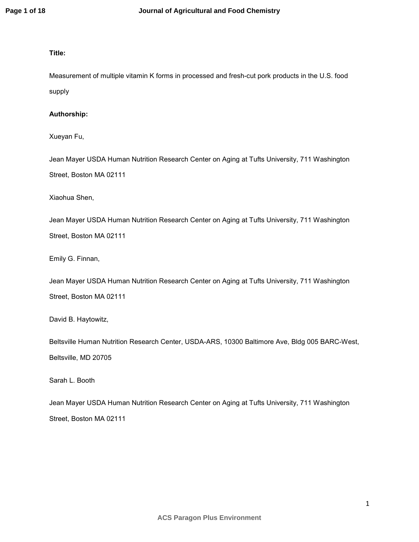### **Title:**

Measurement of multiple vitamin K forms in processed and fresh-cut pork products in the U.S. food supply

#### **Authorship:**

Xueyan Fu,

Jean Mayer USDA Human Nutrition Research Center on Aging at Tufts University, 711 Washington Street, Boston MA 02111

Xiaohua Shen,

Jean Mayer USDA Human Nutrition Research Center on Aging at Tufts University, 711 Washington Street, Boston MA 02111

Emily G. Finnan,

Jean Mayer USDA Human Nutrition Research Center on Aging at Tufts University, 711 Washington Street, Boston MA 02111

David B. Haytowitz,

Beltsville Human Nutrition Research Center, USDA-ARS, 10300 Baltimore Ave, Bldg 005 BARC-West, Beltsville, MD 20705

Sarah L. Booth

Jean Mayer USDA Human Nutrition Research Center on Aging at Tufts University, 711 Washington Street, Boston MA 02111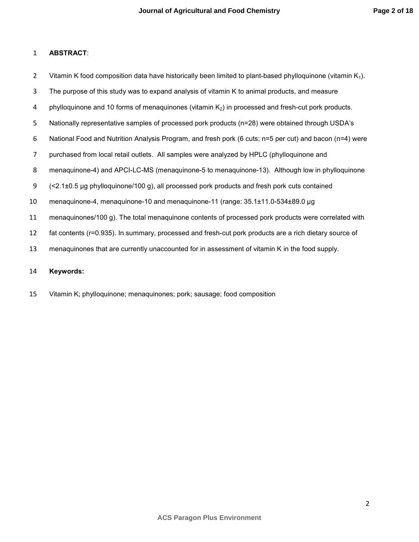## **ABSTRACT**:

2 Vitamin K food composition data have historically been limited to plant-based phylloquinone (vitamin  $K_1$ ).

- The purpose of this study was to expand analysis of vitamin K to animal products, and measure
- 4 phylloquinone and 10 forms of menaquinones (vitamin  $K_2$ ) in processed and fresh-cut pork products.
- Nationally representative samples of processed pork products (n=28) were obtained through USDA's
- National Food and Nutrition Analysis Program, and fresh pork (6 cuts; n=5 per cut) and bacon (n=4) were
- purchased from local retail outlets. All samples were analyzed by HPLC (phylloquinone and
- menaquinone-4) and APCI-LC-MS (menaquinone-5 to menaquinone-13). Although low in phylloquinone
- (<2.1±0.5 µg phylloquinone/100 g), all processed pork products and fresh pork cuts contained
- menaquinone-4, menaquinone-10 and menaquinone-11 (range: 35.1±11.0-534±89.0 µg
- menaquinones/100 g). The total menaquinone contents of processed pork products were correlated with
- fat contents (r=0.935). In summary, processed and fresh-cut pork products are a rich dietary source of
- menaquinones that are currently unaccounted for in assessment of vitamin K in the food supply.

#### **Keywords:**

Vitamin K; phylloquinone; menaquinones; pork; sausage; food composition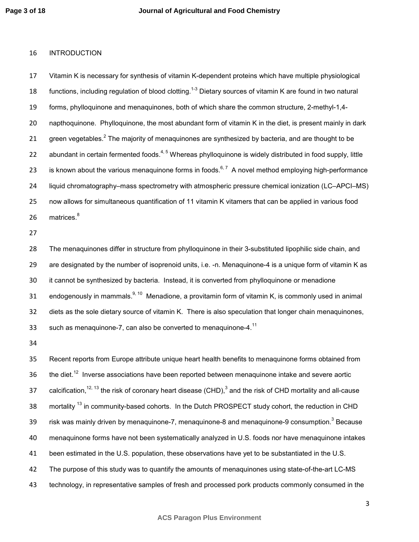#### INTRODUCTION

Vitamin K is necessary for synthesis of vitamin K-dependent proteins which have multiple physiological 18 functions, including regulation of blood clotting.<sup>1-3</sup> Dietary sources of vitamin K are found in two natural forms, phylloquinone and menaquinones, both of which share the common structure, 2-methyl-1,4- napthoquinone. Phylloquinone, the most abundant form of vitamin K in the diet, is present mainly in dark 21 green vegetables.<sup>2</sup> The majority of menaquinones are synthesized by bacteria, and are thought to be 22 abundant in certain fermented foods.<sup>4, 5</sup> Whereas phylloquinone is widely distributed in food supply, little 23 is known about the various menaquinone forms in foods.<sup>6, 7</sup> A novel method employing high-performance liquid chromatography–mass spectrometry with atmospheric pressure chemical ionization (LC–APCI–MS) now allows for simultaneous quantification of 11 vitamin K vitamers that can be applied in various food matrices.<sup>8</sup> 

The menaquinones differ in structure from phylloquinone in their 3-substituted lipophilic side chain, and are designated by the number of isoprenoid units, i.e. -n. Menaquinone-4 is a unique form of vitamin K as it cannot be synthesized by bacteria. Instead, it is converted from phylloquinone or menadione 31 endogenously in mammals.<sup>9, 10</sup> Menadione, a provitamin form of vitamin K, is commonly used in animal diets as the sole dietary source of vitamin K. There is also speculation that longer chain menaquinones, 33 such as menaquinone-7, can also be converted to menaquinone-4. $^{11}$ 

Recent reports from Europe attribute unique heart health benefits to menaquinone forms obtained from the diet.<sup>12</sup> Inverse associations have been reported between menaquinone intake and severe aortic 37 calcification,  $12, 13$  the risk of coronary heart disease (CHD),  $3$  and the risk of CHD mortality and all-cause 38 mortality <sup>13</sup> in community-based cohorts. In the Dutch PROSPECT study cohort, the reduction in CHD 39 risk was mainly driven by menaquinone-7, menaquinone-8 and menaquinone-9 consumption.<sup>3</sup> Because menaquinone forms have not been systematically analyzed in U.S. foods nor have menaquinone intakes been estimated in the U.S. population, these observations have yet to be substantiated in the U.S. The purpose of this study was to quantify the amounts of menaquinones using state-of-the-art LC-MS technology, in representative samples of fresh and processed pork products commonly consumed in the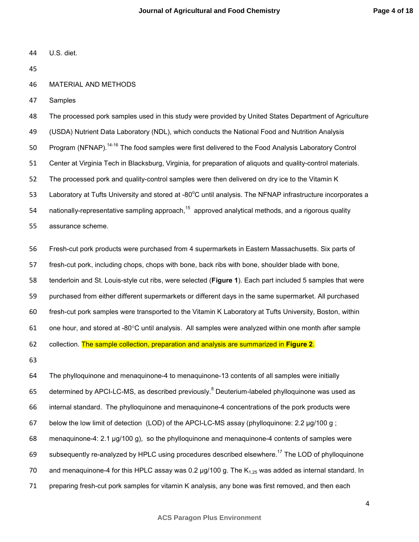U.S. diet.

MATERIAL AND METHODS

Samples

The processed pork samples used in this study were provided by United States Department of Agriculture (USDA) Nutrient Data Laboratory (NDL), which conducts the National Food and Nutrition Analysis 50 Program (NFNAP).<sup>14-16</sup> The food samples were first delivered to the Food Analysis Laboratory Control Center at Virginia Tech in Blacksburg, Virginia, for preparation of aliquots and quality-control materials. The processed pork and quality-control samples were then delivered on dry ice to the Vitamin K 53 Laboratory at Tufts University and stored at -80 $^{\circ}$ C until analysis. The NFNAP infrastructure incorporates a 54 nationally-representative sampling approach,<sup>15</sup> approved analytical methods, and a rigorous quality assurance scheme.

Fresh-cut pork products were purchased from 4 supermarkets in Eastern Massachusetts. Six parts of fresh-cut pork, including chops, chops with bone, back ribs with bone, shoulder blade with bone, tenderloin and St. Louis-style cut ribs, were selected (**Figure 1**). Each part included 5 samples that were purchased from either different supermarkets or different days in the same supermarket. All purchased fresh-cut pork samples were transported to the Vitamin K Laboratory at Tufts University, Boston, within one hour, and stored at -80°C until analysis. All samples were analyzed within one month after sample collection. The sample collection, preparation and analysis are summarized in **Figure 2**. 

The phylloquinone and menaquinone-4 to menaquinone-13 contents of all samples were initially 65 determined by APCI-LC-MS, as described previously.<sup>8</sup> Deuterium-labeled phylloquinone was used as internal standard. The phylloquinone and menaquinone-4 concentrations of the pork products were below the low limit of detection (LOD) of the APCI-LC-MS assay (phylloquinone: 2.2 µg/100 g ; menaquinone-4: 2.1 µg/100 g), so the phylloquinone and menaquinone-4 contents of samples were 69 subsequently re-analyzed by HPLC using procedures described elsewhere.<sup>17</sup> The LOD of phylloquinone 70 and menaquinone-4 for this HPLC assay was 0.2  $\mu$ g/100 g. The K<sub>1.25</sub> was added as internal standard. In preparing fresh-cut pork samples for vitamin K analysis, any bone was first removed, and then each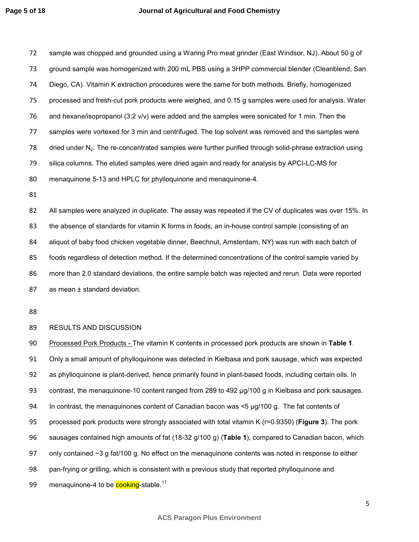sample was chopped and grounded using a Waring Pro meat grinder (East Windsor, NJ). About 50 g of ground sample was homogenized with 200 mL PBS using a 3HPP commercial blender (Cleanblend, San Diego, CA). Vitamin K extraction procedures were the same for both methods. Briefly, homogenized processed and fresh-cut pork products were weighed, and 0.15 g samples were used for analysis. Water and hexane/isopropanol (3:2 v/v) were added and the samples were sonicated for 1 min. Then the samples were vortexed for 3 min and centrifuged. The top solvent was removed and the samples were 78 dried under  $N<sub>2</sub>$ . The re-concentrated samples were further purified through solid-phrase extraction using silica columns. The eluted samples were dried again and ready for analysis by APCI-LC-MS for menaquinone 5-13 and HPLC for phylloquinone and menaquinone-4.

All samples were analyzed in duplicate. The assay was repeated if the CV of duplicates was over 15%. In the absence of standards for vitamin K forms in foods, an in-house control sample (consisting of an aliquot of baby food chicken vegetable dinner, Beechnut, Amsterdam, NY) was run with each batch of foods regardless of detection method. If the determined concentrations of the control sample varied by more than 2.0 standard deviations, the entire sample batch was rejected and rerun. Data were reported 87 as mean ± standard deviation.

#### RESULTS AND DISCUSSION

Processed Pork Products - The vitamin K contents in processed pork products are shown in **Table 1**. Only a small amount of phylloquinone was detected in Kielbasa and pork sausage, which was expected as phylloquinone is plant-derived, hence primarily found in plant-based foods, including certain oils. In contrast, the menaquinone-10 content ranged from 289 to 492 µg/100 g in Kielbasa and pork sausages. In contrast, the menaquinones content of Canadian bacon was <5 µg/100 g. The fat contents of processed pork products were strongly associated with total vitamin K (r=0.9350) (**Figure 3**). The pork sausages contained high amounts of fat (18-32 g/100 g) (**Table 1**), compared to Canadian bacon, which 97 only contained ~3 g fat/100 g. No effect on the menaquinone contents was noted in response to either pan-frying or grilling, which is consistent with a previous study that reported phylloquinone and 99 menaquinone-4 to be cooking-stable.<sup>17</sup>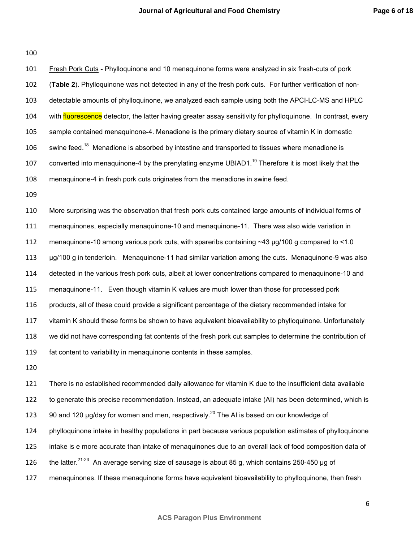| 101 | Fresh Pork Cuts - Phylloquinone and 10 menaquinone forms were analyzed in six fresh-cuts of pork                  |
|-----|-------------------------------------------------------------------------------------------------------------------|
| 102 | (Table 2). Phylloquinone was not detected in any of the fresh pork cuts. For further verification of non-         |
| 103 | detectable amounts of phylloquinone, we analyzed each sample using both the APCI-LC-MS and HPLC                   |
| 104 | with fluorescence detector, the latter having greater assay sensitivity for phylloquinone. In contrast, every     |
| 105 | sample contained menaquinone-4. Menadione is the primary dietary source of vitamin K in domestic                  |
| 106 | swine feed. <sup>18</sup> Menadione is absorbed by intestine and transported to tissues where menadione is        |
| 107 | converted into menaquinone-4 by the prenylating enzyme UBIAD1. <sup>19</sup> Therefore it is most likely that the |
| 108 | menaquinone-4 in fresh pork cuts originates from the menadione in swine feed.                                     |
| 109 |                                                                                                                   |
| 110 | More surprising was the observation that fresh pork cuts contained large amounts of individual forms of           |
| 111 | menaquinones, especially menaquinone-10 and menaquinone-11. There was also wide variation in                      |
| 112 | menaquinone-10 among various pork cuts, with spareribs containing ~43 µg/100 g compared to <1.0                   |
| 113 | µg/100 g in tenderloin. Menaquinone-11 had similar variation among the cuts. Menaquinone-9 was also               |
| 114 | detected in the various fresh pork cuts, albeit at lower concentrations compared to menaquinone-10 and            |
| 115 | menaquinone-11. Even though vitamin K values are much lower than those for processed pork                         |
| 116 | products, all of these could provide a significant percentage of the dietary recommended intake for               |
| 117 | vitamin K should these forms be shown to have equivalent bioavailability to phylloquinone. Unfortunately          |
| 118 | we did not have corresponding fat contents of the fresh pork cut samples to determine the contribution of         |

There is no established recommended daily allowance for vitamin K due to the insufficient data available to generate this precise recommendation. Instead, an adequate intake (AI) has been determined, which is 123 90 and 120  $\mu$ g/day for women and men, respectively.<sup>20</sup> The AI is based on our knowledge of phylloquinone intake in healthy populations in part because various population estimates of phylloquinone intake is e more accurate than intake of menaquinones due to an overall lack of food composition data of 126 the latter.<sup>21-23</sup> An average serving size of sausage is about 85 g, which contains 250-450 µg of menaquinones. If these menaquinone forms have equivalent bioavailability to phylloquinone, then fresh

fat content to variability in menaquinone contents in these samples.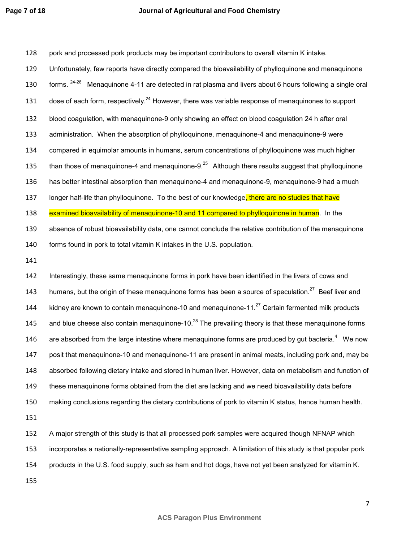128 pork and processed pork products may be important contributors to overall vitamin K intake. 129 Unfortunately, few reports have directly compared the bioavailability of phylloquinone and menaquinone 130 forms. <sup>24-26</sup> Menaquinone 4-11 are detected in rat plasma and livers about 6 hours following a single oral 131 dose of each form, respectively.<sup>24</sup> However, there was variable response of menaquinones to support 132 blood coagulation, with menaquinone-9 only showing an effect on blood coagulation 24 h after oral 133 administration. When the absorption of phylloquinone, menaquinone-4 and menaquinone-9 were 134 compared in equimolar amounts in humans, serum concentrations of phylloquinone was much higher 135 than those of menaquinone-4 and menaquinone-9. $^{25}$  Although there results suggest that phylloquinone 136 has better intestinal absorption than menaquinone-4 and menaquinone-9, menaquinone-9 had a much 137 longer half-life than phylloquinone. To the best of our knowledge, there are no studies that have 138 examined bioavailability of menaquinone-10 and 11 compared to phylloquinone in human. In the 139 absence of robust bioavailability data, one cannot conclude the relative contribution of the menaquinone 140 forms found in pork to total vitamin K intakes in the U.S. population. 141 142 Interestingly, these same menaquinone forms in pork have been identified in the livers of cows and 143 humans, but the origin of these menaquinone forms has been a source of speculation.<sup>27</sup> Beef liver and 144 kidney are known to contain menaquinone-10 and menaquinone-11. $^{27}$  Certain fermented milk products 145 and blue cheese also contain menaquinone-10.<sup>28</sup> The prevailing theory is that these menaquinone forms 146 are absorbed from the large intestine where menaquinone forms are produced by gut bacteria.<sup>4</sup> We now 147 posit that menaquinone-10 and menaquinone-11 are present in animal meats, including pork and, may be 148 absorbed following dietary intake and stored in human liver. However, data on metabolism and function of 149 these menaquinone forms obtained from the diet are lacking and we need bioavailability data before

150 making conclusions regarding the dietary contributions of pork to vitamin K status, hence human health.

151

152 A major strength of this study is that all processed pork samples were acquired though NFNAP which 153 incorporates a nationally-representative sampling approach. A limitation of this study is that popular pork

154 products in the U.S. food supply, such as ham and hot dogs, have not yet been analyzed for vitamin K.

155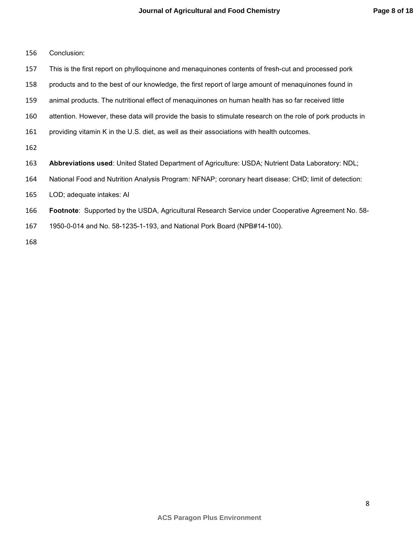| 156 | Conclusion: |
|-----|-------------|
|-----|-------------|

- This is the first report on phylloquinone and menaquinones contents of fresh-cut and processed pork
- products and to the best of our knowledge, the first report of large amount of menaquinones found in
- animal products. The nutritional effect of menaquinones on human health has so far received little
- attention. However, these data will provide the basis to stimulate research on the role of pork products in
- providing vitamin K in the U.S. diet, as well as their associations with health outcomes.
- 
- **Abbreviations used**: United Stated Department of Agriculture: USDA; Nutrient Data Laboratory: NDL;
- National Food and Nutrition Analysis Program: NFNAP; coronary heart disease: CHD; limit of detection:
- LOD; adequate intakes: AI
- **Footnote**: Supported by the USDA, Agricultural Research Service under Cooperative Agreement No. 58-
- 1950-0-014 and No. 58-1235-1-193, and National Pork Board (NPB#14-100).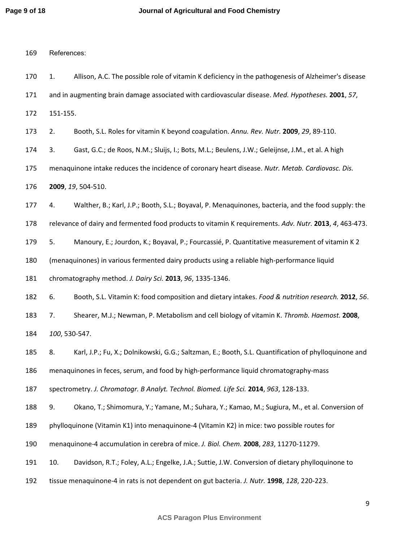| 169 | References:                                                                                                |
|-----|------------------------------------------------------------------------------------------------------------|
| 170 | 1.<br>Allison, A.C. The possible role of vitamin K deficiency in the pathogenesis of Alzheimer's disease   |
| 171 | and in augmenting brain damage associated with cardiovascular disease. Med. Hypotheses. 2001, 57,          |
| 172 | 151-155.                                                                                                   |
| 173 | Booth, S.L. Roles for vitamin K beyond coagulation. Annu. Rev. Nutr. 2009, 29, 89-110.<br>2.               |
| 174 | 3.<br>Gast, G.C.; de Roos, N.M.; Sluijs, I.; Bots, M.L.; Beulens, J.W.; Geleijnse, J.M., et al. A high     |
| 175 | menaquinone intake reduces the incidence of coronary heart disease. Nutr. Metab. Cardiovasc. Dis.          |
| 176 | 2009, 19, 504-510.                                                                                         |
| 177 | Walther, B.; Karl, J.P.; Booth, S.L.; Boyaval, P. Menaquinones, bacteria, and the food supply: the<br>4.   |
| 178 | relevance of dairy and fermented food products to vitamin K requirements. Adv. Nutr. 2013, 4, 463-473.     |
| 179 | 5.<br>Manoury, E.; Jourdon, K.; Boyaval, P.; Fourcassié, P. Quantitative measurement of vitamin K 2        |
| 180 | (menaquinones) in various fermented dairy products using a reliable high-performance liquid                |
| 181 | chromatography method. J. Dairy Sci. 2013, 96, 1335-1346.                                                  |
| 182 | 6.<br>Booth, S.L. Vitamin K: food composition and dietary intakes. Food & nutrition research. 2012, 56.    |
| 183 | Shearer, M.J.; Newman, P. Metabolism and cell biology of vitamin K. Thromb. Haemost. 2008,<br>7.           |
| 184 | 100, 530-547.                                                                                              |
| 185 | 8.<br>Karl, J.P.; Fu, X.; Dolnikowski, G.G.; Saltzman, E.; Booth, S.L. Quantification of phylloquinone and |
| 186 | menaquinones in feces, serum, and food by high-performance liquid chromatography-mass                      |
| 187 | spectrometry. J. Chromatogr. B Analyt. Technol. Biomed. Life Sci. 2014, 963, 128-133.                      |
| 188 | 9.<br>Okano, T.; Shimomura, Y.; Yamane, M.; Suhara, Y.; Kamao, M.; Sugiura, M., et al. Conversion of       |
| 189 | phylloquinone (Vitamin K1) into menaquinone-4 (Vitamin K2) in mice: two possible routes for                |
| 190 | menaquinone-4 accumulation in cerebra of mice. J. Biol. Chem. 2008, 283, 11270-11279.                      |
| 191 | 10.<br>Davidson, R.T.; Foley, A.L.; Engelke, J.A.; Suttie, J.W. Conversion of dietary phylloquinone to     |
| 192 | tissue menaquinone-4 in rats is not dependent on gut bacteria. J. Nutr. 1998, 128, 220-223.                |
|     |                                                                                                            |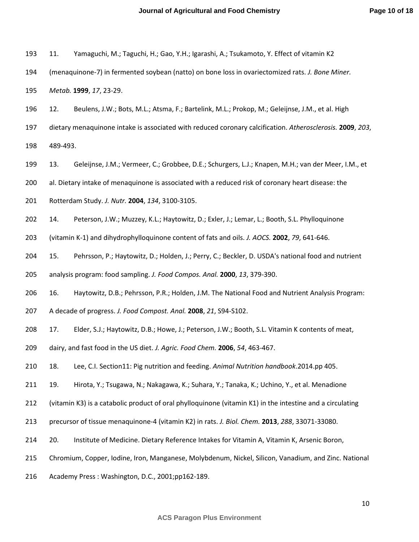| Yamaguchi, M.; Taguchi, H.; Gao, Y.H.; Igarashi, A.; Tsukamoto, Y. Effect of vitamin K2<br>193 11. |
|----------------------------------------------------------------------------------------------------|
|----------------------------------------------------------------------------------------------------|

194 (menaquinone-7) in fermented soybean (natto) on bone loss in ovariectomized rats. *J. Bone Miner.* 

195 *Metab.* **1999**, *17*, 23-29.

- 196 12. Beulens, J.W.; Bots, M.L.; Atsma, F.; Bartelink, M.L.; Prokop, M.; Geleijnse, J.M., et al. High
- 197 dietary menaquinone intake is associated with reduced coronary calcification. *Atherosclerosis.* **2009**, *203*,

198 489-493.

- 199 13. Geleijnse, J.M.; Vermeer, C.; Grobbee, D.E.; Schurgers, L.J.; Knapen, M.H.; van der Meer, I.M., et
- 200 al. Dietary intake of menaquinone is associated with a reduced risk of coronary heart disease: the
- 201 Rotterdam Study. *J. Nutr.* **2004**, *134*, 3100-3105.
- 202 14. Peterson, J.W.; Muzzey, K.L.; Haytowitz, D.; Exler, J.; Lemar, L.; Booth, S.L. Phylloquinone
- 203 (vitamin K-1) and dihydrophylloquinone content of fats and oils. *J. AOCS.* **2002**, *79*, 641-646.
- 204 15. Pehrsson, P.; Haytowitz, D.; Holden, J.; Perry, C.; Beckler, D. USDA's national food and nutrient
- 205 analysis program: food sampling. *J. Food Compos. Anal.* **2000**, *13*, 379-390.
- 206 16. Haytowitz, D.B.; Pehrsson, P.R.; Holden, J.M. The National Food and Nutrient Analysis Program:
- 207 A decade of progress. *J. Food Compost. Anal.* **2008**, *21*, S94-S102.
- 208 17. Elder, S.J.; Haytowitz, D.B.; Howe, J.; Peterson, J.W.; Booth, S.L. Vitamin K contents of meat,
- 209 dairy, and fast food in the US diet. *J. Agric. Food Chem.* **2006**, *54*, 463-467.
- 210 18. Lee, C.I. Section11: Pig nutrition and feeding. *Animal Nutrition handbook*.2014.pp 405.
- 211 19. Hirota, Y.; Tsugawa, N.; Nakagawa, K.; Suhara, Y.; Tanaka, K.; Uchino, Y., et al. Menadione
- 212 (vitamin K3) is a catabolic product of oral phylloquinone (vitamin K1) in the intestine and a circulating
- 213 precursor of tissue menaquinone-4 (vitamin K2) in rats. *J. Biol. Chem.* **2013**, *288*, 33071-33080.
- 214 20. Institute of Medicine. Dietary Reference Intakes for Vitamin A, Vitamin K, Arsenic Boron,
- 215 Chromium, Copper, Iodine, Iron, Manganese, Molybdenum, Nickel, Silicon, Vanadium, and Zinc. National
- 216 Academy Press : Washington, D.C., 2001;pp162-189.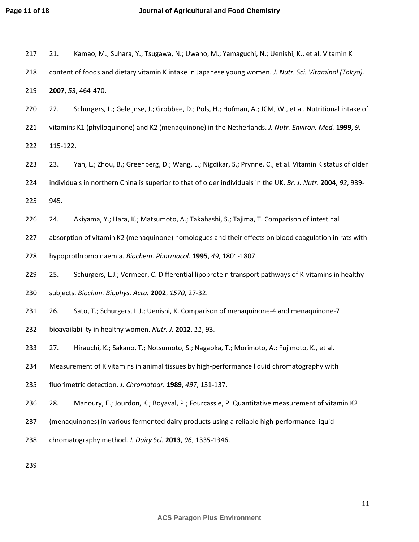| 217 | 21.                                                            | Kamao, M.; Suhara, Y.; Tsugawa, N.; Uwano, M.; Yamaguchi, N.; Uenishi, K., et al. Vitamin K                   |  |  |  |  |  |
|-----|----------------------------------------------------------------|---------------------------------------------------------------------------------------------------------------|--|--|--|--|--|
| 218 |                                                                | content of foods and dietary vitamin K intake in Japanese young women. J. Nutr. Sci. Vitaminol (Tokyo).       |  |  |  |  |  |
| 219 |                                                                | 2007, 53, 464-470.                                                                                            |  |  |  |  |  |
| 220 | 22.                                                            | Schurgers, L.; Geleijnse, J.; Grobbee, D.; Pols, H.; Hofman, A.; JCM, W., et al. Nutritional intake of        |  |  |  |  |  |
| 221 |                                                                | vitamins K1 (phylloquinone) and K2 (menaquinone) in the Netherlands. J. Nutr. Environ. Med. 1999, 9,          |  |  |  |  |  |
| 222 | 115-122.                                                       |                                                                                                               |  |  |  |  |  |
| 223 | 23.                                                            | Yan, L.; Zhou, B.; Greenberg, D.; Wang, L.; Nigdikar, S.; Prynne, C., et al. Vitamin K status of older        |  |  |  |  |  |
| 224 |                                                                | individuals in northern China is superior to that of older individuals in the UK. Br. J. Nutr. 2004, 92, 939- |  |  |  |  |  |
| 225 | 945.                                                           |                                                                                                               |  |  |  |  |  |
| 226 | 24.                                                            | Akiyama, Y.; Hara, K.; Matsumoto, A.; Takahashi, S.; Tajima, T. Comparison of intestinal                      |  |  |  |  |  |
| 227 |                                                                | absorption of vitamin K2 (menaquinone) homologues and their effects on blood coagulation in rats with         |  |  |  |  |  |
| 228 | hypoprothrombinaemia. Biochem. Pharmacol. 1995, 49, 1801-1807. |                                                                                                               |  |  |  |  |  |
| 229 | 25.                                                            | Schurgers, L.J.; Vermeer, C. Differential lipoprotein transport pathways of K-vitamins in healthy             |  |  |  |  |  |
| 230 |                                                                | subjects. Biochim. Biophys. Acta. 2002, 1570, 27-32.                                                          |  |  |  |  |  |
| 231 | 26.                                                            | Sato, T.; Schurgers, L.J.; Uenishi, K. Comparison of menaquinone-4 and menaquinone-7                          |  |  |  |  |  |
| 232 |                                                                | bioavailability in healthy women. Nutr. J. 2012, 11, 93.                                                      |  |  |  |  |  |
| 233 | 27.                                                            | Hirauchi, K.; Sakano, T.; Notsumoto, S.; Nagaoka, T.; Morimoto, A.; Fujimoto, K., et al.                      |  |  |  |  |  |
| 234 |                                                                | Measurement of K vitamins in animal tissues by high-performance liquid chromatography with                    |  |  |  |  |  |
| 235 |                                                                | fluorimetric detection. J. Chromatogr. 1989, 497, 131-137.                                                    |  |  |  |  |  |
| 236 | 28.                                                            | Manoury, E.; Jourdon, K.; Boyaval, P.; Fourcassie, P. Quantitative measurement of vitamin K2                  |  |  |  |  |  |
| 237 |                                                                | (menaquinones) in various fermented dairy products using a reliable high-performance liquid                   |  |  |  |  |  |
| 238 |                                                                | chromatography method. J. Dairy Sci. 2013, 96, 1335-1346.                                                     |  |  |  |  |  |
| 239 |                                                                |                                                                                                               |  |  |  |  |  |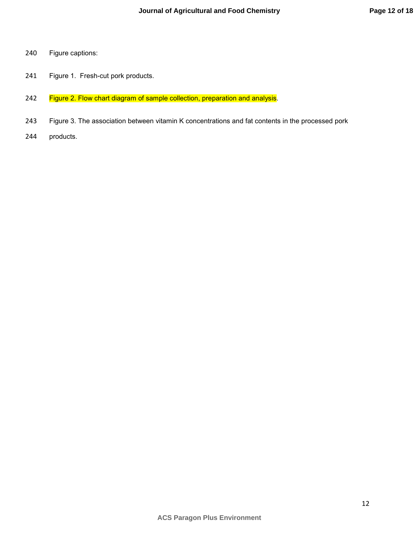- 240 Figure captions:
- 241 Figure 1. Fresh-cut pork products.
- 242 Figure 2. Flow chart diagram of sample collection, preparation and analysis.
- 243 Figure 3. The association between vitamin K concentrations and fat contents in the processed pork
- 244 products.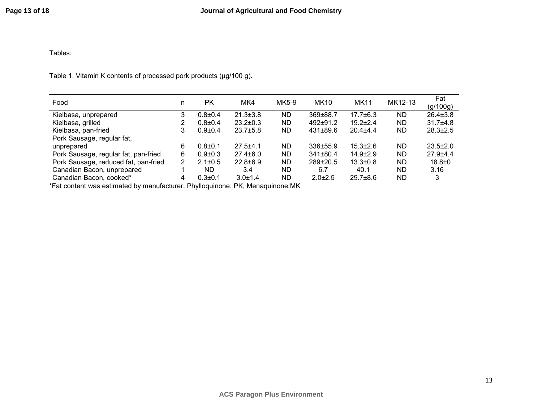## Tables:

Table 1. Vitamin K contents of processed pork products (µg/100 g).

| Food                                 | n | <b>PK</b>     | MK4            | MK5-9 | <b>MK10</b>    | <b>MK11</b>    | MK12-13   | Fat<br>(g/100g) |
|--------------------------------------|---|---------------|----------------|-------|----------------|----------------|-----------|-----------------|
| Kielbasa, unprepared                 | 3 | $0.8{\pm}0.4$ | $21.3 \pm 3.8$ | ND.   | 369±88.7       | $17.7 \pm 6.3$ | ND.       | $26.4 \pm 3.8$  |
| Kielbasa, grilled                    | 2 | $0.8 + 0.4$   | $23.2 \pm 0.3$ | ND    | $492+91.2$     | $19.2 \pm 2.4$ | <b>ND</b> | $31.7 + 4.8$    |
| Kielbasa, pan-fried                  | 3 | $0.9 + 0.4$   | $23.7 \pm 5.8$ | ND    | $431\pm89.6$   | $20.4 + 4.4$   | ND        | $28.3 \pm 2.5$  |
| Pork Sausage, regular fat,           |   |               |                |       |                |                |           |                 |
| unprepared                           | 6 | $0.8 + 0.1$   | $27.5 + 4.1$   | ND.   | $336 \pm 55.9$ | $15.3 \pm 2.6$ | ND.       | $23.5 \pm 2.0$  |
| Pork Sausage, regular fat, pan-fried | 6 | $0.9 + 0.3$   | $27.4 \pm 6.0$ | ND    | $341\pm80.4$   | $14.9 \pm 2.9$ | <b>ND</b> | $27.9 + 4.4$    |
| Pork Sausage, reduced fat, pan-fried | 2 | $2.1 \pm 0.5$ | $22.8 \pm 6.9$ | ND    | $289 \pm 20.5$ | $13.3 \pm 0.8$ | <b>ND</b> | $18.8 + 0$      |
| Canadian Bacon, unprepared           |   | ND            | 3.4            | ND.   | 6.7            | 40.1           | ND.       | 3.16            |
| Canadian Bacon, cooked*              | 4 | $0.3 \pm 0.1$ | $3.0 \pm 1.4$  | ND    | $2.0 \pm 2.5$  | $29.7 \pm 8.6$ | ND        | 3               |

\*Fat content was estimated by manufacturer. Phylloquinone: PK; Menaquinone:MK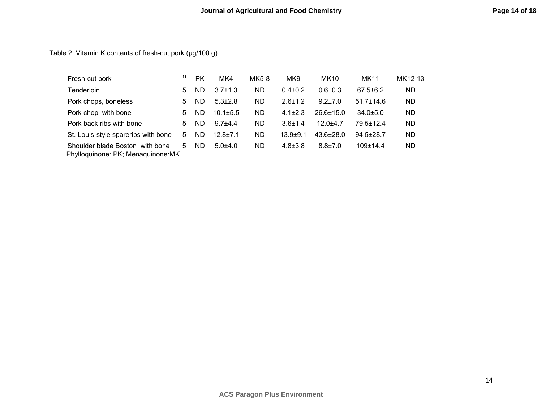Table 2. Vitamin K contents of fresh-cut pork (µg/100 g).

| Fresh-cut pork                      | n. | PK  | MK4            | MK5-8     | MK <sub>9</sub> | <b>MK10</b>     | MK11            | MK12-13   |
|-------------------------------------|----|-----|----------------|-----------|-----------------|-----------------|-----------------|-----------|
| Tenderloin                          | 5. | ND  | $3.7 \pm 1.3$  | ND.       | $0.4 \pm 0.2$   | $0.6 + 0.3$     | $67.5 \pm 6.2$  | ND.       |
| Pork chops, boneless                | 5. | ND  | $5.3 \pm 2.8$  | <b>ND</b> | $2.6 + 1.2$     | $9.2 + 7.0$     | $51.7 \pm 14.6$ | ND.       |
| Pork chop with bone                 | 5. | ND  | $10.1 \pm 5.5$ | <b>ND</b> | $4.1 \pm 2.3$   | $26.6 + 15.0$   | $34.0 \pm 5.0$  | <b>ND</b> |
| Pork back ribs with bone            | 5. | ND  | $9.7 + 4.4$    | ND.       | $3.6 + 1.4$     | $12.0 + 4.7$    | $79.5 + 12.4$   | <b>ND</b> |
| St. Louis-style spareribs with bone | 5  | ND. | $12.8 + 7.1$   | <b>ND</b> | $13.9 + 9.1$    | $43.6 \pm 28.0$ | $94.5 \pm 28.7$ | <b>ND</b> |
| Shoulder blade Boston with bone     | 5. | ND  | $5.0 + 4.0$    | ND.       | $4.8 \pm 3.8$   | $8.8 \pm 7.0$   | $109 \pm 14.4$  | ND.       |

Phylloquinone: PK; Menaquinone:MK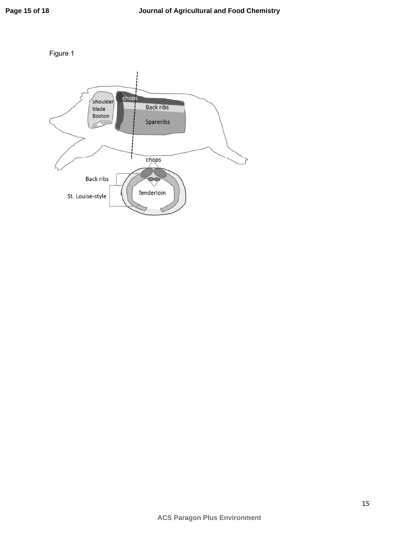

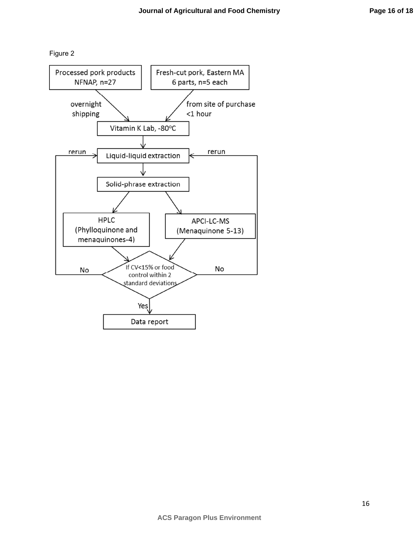Figure 2

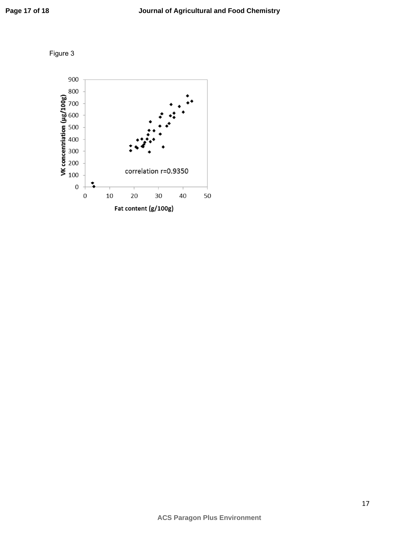